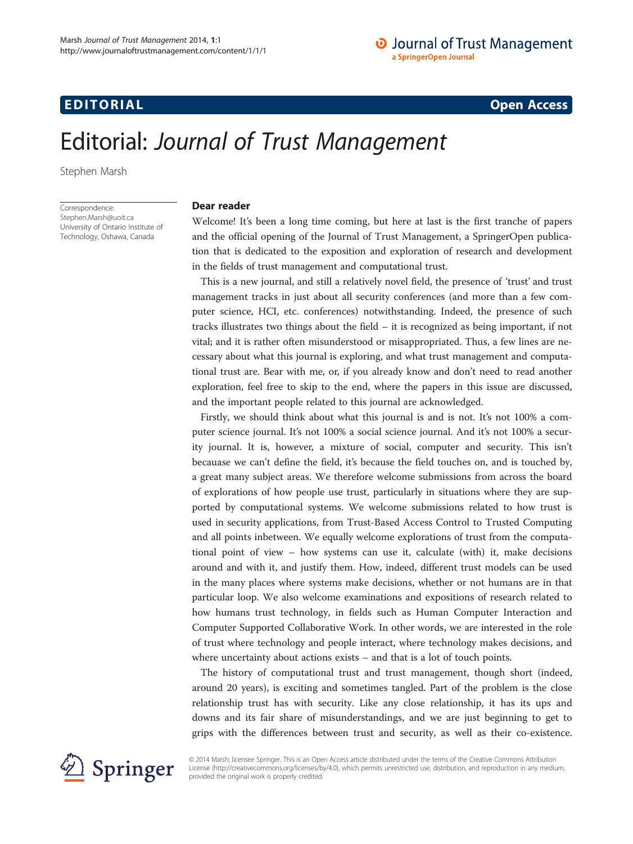# **EDITORIAL** CONTROL CONTROL CONTROL CONTROL CONTROL CONTROL CONTROL CONTROL CONTROL CONTROL CONTROL CONTROL CONTROL CONTROL CONTROL CONTROL CONTROL CONTROL CONTROL CONTROL CONTROL CONTROL CONTROL CONTROL CONTROL CONTROL CO

## **O** Journal of Trust Management a SpringerOpen Journal

# Editorial: Journal of Trust Management

Stephen Marsh

Correspondence: [Stephen.Marsh@uoit.ca](mailto:Stephen.Marsh@uoit.ca) University of Ontario Institute of Technology, Oshawa, Canada

### Dear reader

Welcome! It's been a long time coming, but here at last is the first tranche of papers and the official opening of the Journal of Trust Management, a SpringerOpen publication that is dedicated to the exposition and exploration of research and development in the fields of trust management and computational trust.

This is a new journal, and still a relatively novel field, the presence of 'trust' and trust management tracks in just about all security conferences (and more than a few computer science, HCI, etc. conferences) notwithstanding. Indeed, the presence of such tracks illustrates two things about the field – it is recognized as being important, if not vital; and it is rather often misunderstood or misappropriated. Thus, a few lines are necessary about what this journal is exploring, and what trust management and computational trust are. Bear with me, or, if you already know and don't need to read another exploration, feel free to skip to the end, where the papers in this issue are discussed, and the important people related to this journal are acknowledged.

Firstly, we should think about what this journal is and is not. It's not 100% a computer science journal. It's not 100% a social science journal. And it's not 100% a security journal. It is, however, a mixture of social, computer and security. This isn't becauase we can't define the field, it's because the field touches on, and is touched by, a great many subject areas. We therefore welcome submissions from across the board of explorations of how people use trust, particularly in situations where they are supported by computational systems. We welcome submissions related to how trust is used in security applications, from Trust-Based Access Control to Trusted Computing and all points inbetween. We equally welcome explorations of trust from the computational point of view – how systems can use it, calculate (with) it, make decisions around and with it, and justify them. How, indeed, different trust models can be used in the many places where systems make decisions, whether or not humans are in that particular loop. We also welcome examinations and expositions of research related to how humans trust technology, in fields such as Human Computer Interaction and Computer Supported Collaborative Work. In other words, we are interested in the role of trust where technology and people interact, where technology makes decisions, and where uncertainty about actions exists – and that is a lot of touch points.

The history of computational trust and trust management, though short (indeed, around 20 years), is exciting and sometimes tangled. Part of the problem is the close relationship trust has with security. Like any close relationship, it has its ups and downs and its fair share of misunderstandings, and we are just beginning to get to grips with the differences between trust and security, as well as their co-existence.



© 2014 Marsh; licensee Springer. This is an Open Access article distributed under the terms of the Creative Commons Attribution License [\(http://creativecommons.org/licenses/by/4.0\)](http://www.sciencedirect.com/science/article/pii/S1571066106002891), which permits unrestricted use, distribution, and reproduction in any medium, provided the original work is properly credited.